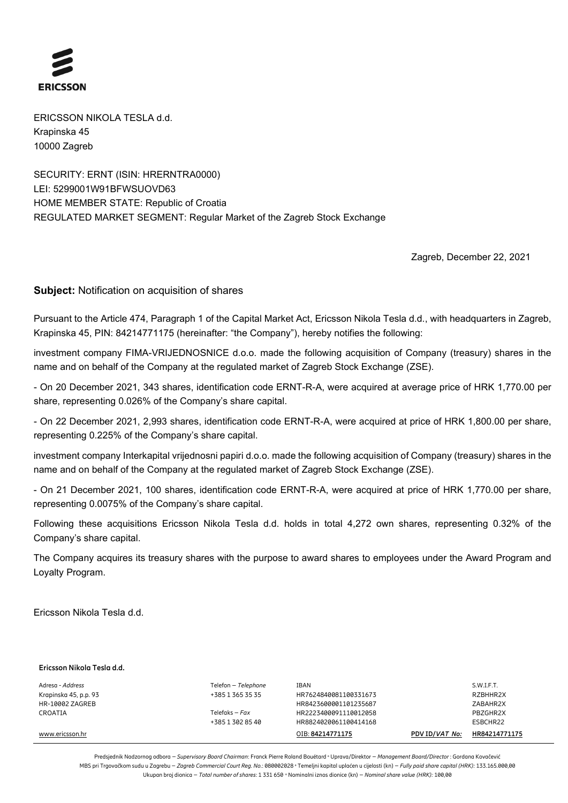

ERICSSON NIKOLA TESLA d.d. Krapinska 45 10000 Zagreb

SECURITY: ERNT (ISIN: HRERNTRA0000) LEI: 5299001W91BFWSUOVD63 HOME MEMBER STATE: Republic of Croatia REGULATED MARKET SEGMENT: Regular Market of the Zagreb Stock Exchange

Zagreb, December 22, 2021

**Subject:** Notification on acquisition of shares

Pursuant to the Article 474, Paragraph 1 of the Capital Market Act, Ericsson Nikola Tesla d.d., with headquarters in Zagreb, Krapinska 45, PIN: 84214771175 (hereinafter: "the Company"), hereby notifies the following:

investment company FIMA-VRIJEDNOSNICE d.o.o. made the following acquisition of Company (treasury) shares in the name and on behalf of the Company at the regulated market of Zagreb Stock Exchange (ZSE).

- On 20 December 2021, 343 shares, identification code ERNT-R-A, were acquired at average price of HRK 1,770.00 per share, representing 0.026% of the Company's share capital.

- On 22 December 2021, 2,993 shares, identification code ERNT-R-A, were acquired at price of HRK 1,800.00 per share, representing 0.225% of the Company's share capital.

investment company Interkapital vrijednosni papiri d.o.o. made the following acquisition of Company (treasury) shares in the name and on behalf of the Company at the regulated market of Zagreb Stock Exchange (ZSE).

- On 21 December 2021, 100 shares, identification code ERNT-R-A, were acquired at price of HRK 1,770.00 per share, representing 0.0075% of the Company's share capital.

Following these acquisitions Ericsson Nikola Tesla d.d. holds in total 4,272 own shares, representing 0.32% of the Company's share capital.

The Company acquires its treasury shares with the purpose to award shares to employees under the Award Program and Loyalty Program.

Ericsson Nikola Tesla d.d.

| Ericsson Nikola Tesla d.d. |  |
|----------------------------|--|
|----------------------------|--|

| Adresa - <i>Address</i> | Telefon - Telephone | IBAN                  |                | S.W.I.F.T.    |
|-------------------------|---------------------|-----------------------|----------------|---------------|
| Krapinska 45, p.p. 93   | +385 1 365 35 35    | HR7624840081100331673 |                | RZBHHR2X      |
| HR-10002 ZAGREB         |                     | HR8423600001101235687 |                | ZABAHR2X      |
| CROATIA                 | Telefaks – $Fax$    | HR2223400091110012058 |                | PBZGHR2X      |
|                         | +385 1 302 85 40    | HR8824020061100414168 |                | ESBCHR22      |
| www.ericsson.hr         |                     | OIB: 84214771175      | PDV ID/VAT No: | HR84214771175 |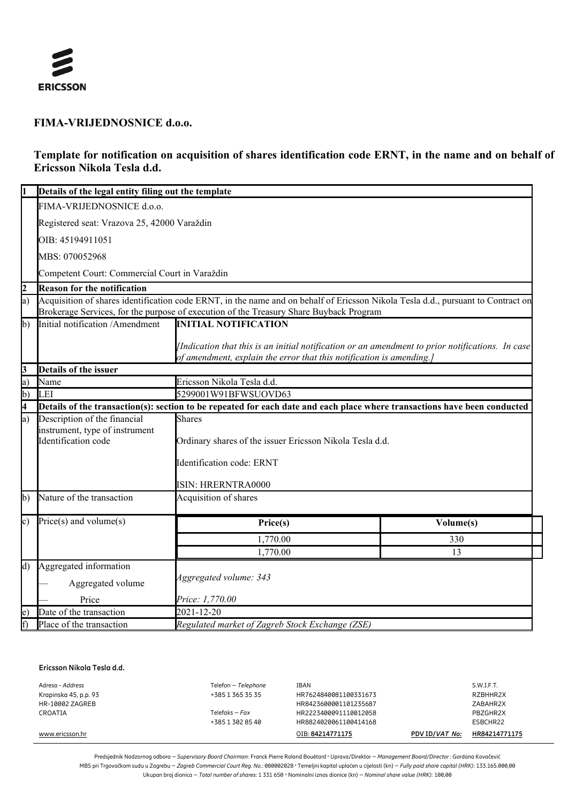

### **FIMA-VRIJEDNOSNICE d.o.o.**

## **Template for notification on acquisition of shares identification code ERNT, in the name and on behalf of Ericsson Nikola Tesla d.d.**

|                | Details of the legal entity filing out the template                                                                                                                                                                        |                                                                                                                                                                          |           |  |
|----------------|----------------------------------------------------------------------------------------------------------------------------------------------------------------------------------------------------------------------------|--------------------------------------------------------------------------------------------------------------------------------------------------------------------------|-----------|--|
|                | FIMA-VRIJEDNOSNICE d.o.o.                                                                                                                                                                                                  |                                                                                                                                                                          |           |  |
|                | Registered seat: Vrazova 25, 42000 Varaždin                                                                                                                                                                                |                                                                                                                                                                          |           |  |
|                | OIB: 45194911051                                                                                                                                                                                                           |                                                                                                                                                                          |           |  |
|                | MBS: 070052968                                                                                                                                                                                                             |                                                                                                                                                                          |           |  |
|                | Competent Court: Commercial Court in Varaždin                                                                                                                                                                              |                                                                                                                                                                          |           |  |
| $\overline{2}$ | <b>Reason for the notification</b>                                                                                                                                                                                         |                                                                                                                                                                          |           |  |
| a)             | Acquisition of shares identification code ERNT, in the name and on behalf of Ericsson Nikola Tesla d.d., pursuant to Contract on<br>Brokerage Services, for the purpose of execution of the Treasury Share Buyback Program |                                                                                                                                                                          |           |  |
| $\mathbf{b}$   | Initial notification /Amendment                                                                                                                                                                                            | <b>INITIAL NOTIFICATION</b>                                                                                                                                              |           |  |
|                |                                                                                                                                                                                                                            | [Indication that this is an initial notification or an amendment to prior notifications. In case<br>of amendment, explain the error that this notification is amending.] |           |  |
| 3              | Details of the issuer                                                                                                                                                                                                      |                                                                                                                                                                          |           |  |
| a)             | Name                                                                                                                                                                                                                       | Ericsson Nikola Tesla d.d.                                                                                                                                               |           |  |
| $\mathbf{b}$   | LEI                                                                                                                                                                                                                        | 5299001W91BFWSUOVD63                                                                                                                                                     |           |  |
| 4              | Details of the transaction(s): section to be repeated for each date and each place where transactions have been conducted                                                                                                  |                                                                                                                                                                          |           |  |
| a)             | Description of the financial                                                                                                                                                                                               | <b>Shares</b>                                                                                                                                                            |           |  |
|                | instrument, type of instrument                                                                                                                                                                                             |                                                                                                                                                                          |           |  |
|                | Identification code                                                                                                                                                                                                        | Ordinary shares of the issuer Ericsson Nikola Tesla d.d.                                                                                                                 |           |  |
|                |                                                                                                                                                                                                                            | Identification code: ERNT                                                                                                                                                |           |  |
|                |                                                                                                                                                                                                                            | ISIN: HRERNTRA0000                                                                                                                                                       |           |  |
| b)             | Nature of the transaction                                                                                                                                                                                                  | Acquisition of shares                                                                                                                                                    |           |  |
| c)             | $Price(s)$ and volume $(s)$                                                                                                                                                                                                | Price(s)                                                                                                                                                                 | Volume(s) |  |
|                |                                                                                                                                                                                                                            | 1,770.00                                                                                                                                                                 | 330       |  |
|                |                                                                                                                                                                                                                            | 1,770.00                                                                                                                                                                 | 13        |  |
| $\rm d$ )      | Aggregated information                                                                                                                                                                                                     |                                                                                                                                                                          |           |  |
|                | Aggregated volume                                                                                                                                                                                                          | Aggregated volume: 343                                                                                                                                                   |           |  |
|                | Price                                                                                                                                                                                                                      | Price: 1,770.00                                                                                                                                                          |           |  |
| $\mathbf{e})$  | Date of the transaction                                                                                                                                                                                                    | 2021-12-20                                                                                                                                                               |           |  |
| f)             | Place of the transaction                                                                                                                                                                                                   | Regulated market of Zagreb Stock Exchange (ZSE)                                                                                                                          |           |  |

#### **Ericsson Nikola Tesla d.d.**

| Adresa - Address       | Telefon - Telephone | IBAN                  |                | S.W.I.F.T.    |
|------------------------|---------------------|-----------------------|----------------|---------------|
| Krapinska 45, p.p. 93  | +385 1 365 35 35    | HR7624840081100331673 |                | RZBHHR2X      |
| <b>HR-10002 ZAGREB</b> |                     | HR8423600001101235687 |                | ZABAHR2X      |
| CROATIA                | Telefaks – $Fax$    | HR2223400091110012058 |                | PBZGHR2X      |
|                        | +385 1 302 85 40    | HR8824020061100414168 |                | ESBCHR22      |
| www.ericsson.hr        |                     | OIB: 84214771175      | PDV ID/VAT No: | HR84214771175 |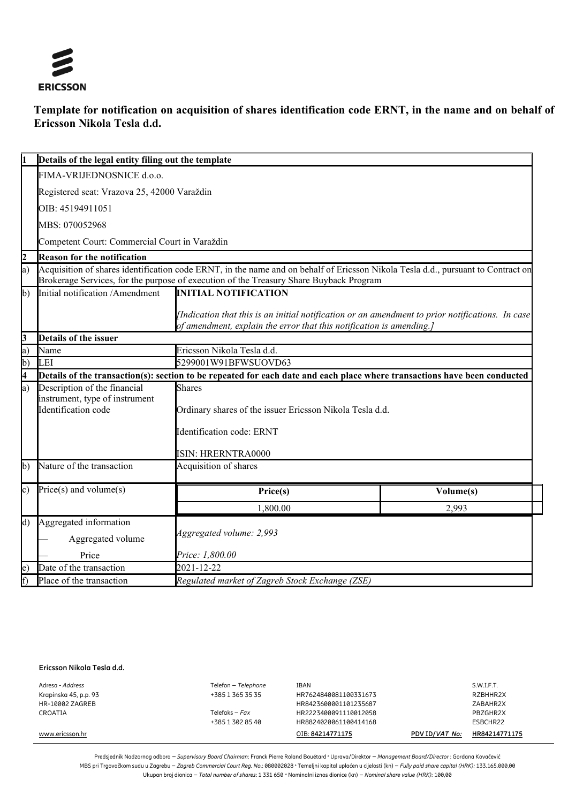

# **Template for notification on acquisition of shares identification code ERNT, in the name and on behalf of Ericsson Nikola Tesla d.d.**

|                         | Details of the legal entity filing out the template |                                                                                                                                                                                                                            |           |  |  |
|-------------------------|-----------------------------------------------------|----------------------------------------------------------------------------------------------------------------------------------------------------------------------------------------------------------------------------|-----------|--|--|
|                         | FIMA-VRIJEDNOSNICE d.o.o.                           |                                                                                                                                                                                                                            |           |  |  |
|                         | Registered seat: Vrazova 25, 42000 Varaždin         |                                                                                                                                                                                                                            |           |  |  |
|                         | OIB: 45194911051                                    |                                                                                                                                                                                                                            |           |  |  |
|                         | MBS: 070052968                                      |                                                                                                                                                                                                                            |           |  |  |
|                         | Competent Court: Commercial Court in Varaždin       |                                                                                                                                                                                                                            |           |  |  |
| $\overline{2}$          | <b>Reason for the notification</b>                  |                                                                                                                                                                                                                            |           |  |  |
| a)                      |                                                     | Acquisition of shares identification code ERNT, in the name and on behalf of Ericsson Nikola Tesla d.d., pursuant to Contract on<br>Brokerage Services, for the purpose of execution of the Treasury Share Buyback Program |           |  |  |
| $\mathbf{b}$            | Initial notification /Amendment                     | <b>INITIAL NOTIFICATION</b>                                                                                                                                                                                                |           |  |  |
|                         |                                                     | [Indication that this is an initial notification or an amendment to prior notifications. In case<br>of amendment, explain the error that this notification is amending.]                                                   |           |  |  |
| 3                       | Details of the issuer                               |                                                                                                                                                                                                                            |           |  |  |
| a)                      | Name                                                | Ericsson Nikola Tesla d.d.                                                                                                                                                                                                 |           |  |  |
| b)                      | LEI                                                 | 5299001W91BFWSUOVD63                                                                                                                                                                                                       |           |  |  |
| $\overline{\mathbf{4}}$ |                                                     | Details of the transaction(s): section to be repeated for each date and each place where transactions have been conducted                                                                                                  |           |  |  |
| a)                      | Description of the financial                        | <b>Shares</b>                                                                                                                                                                                                              |           |  |  |
|                         | instrument, type of instrument                      |                                                                                                                                                                                                                            |           |  |  |
|                         | Identification code                                 | Ordinary shares of the issuer Ericsson Nikola Tesla d.d.                                                                                                                                                                   |           |  |  |
|                         |                                                     | Identification code: ERNT                                                                                                                                                                                                  |           |  |  |
|                         |                                                     | ISIN: HRERNTRA0000                                                                                                                                                                                                         |           |  |  |
| $\mathbf{b}$            | Nature of the transaction                           | Acquisition of shares                                                                                                                                                                                                      |           |  |  |
| $\circ$ )               | $Price(s)$ and volume $(s)$                         | Price(s)                                                                                                                                                                                                                   | Volume(s) |  |  |
|                         |                                                     | 1,800.00                                                                                                                                                                                                                   | 2,993     |  |  |
| $\overline{d}$          | Aggregated information                              |                                                                                                                                                                                                                            |           |  |  |
|                         | Aggregated volume                                   | Aggregated volume: 2,993                                                                                                                                                                                                   |           |  |  |
|                         | Price                                               | Price: 1,800.00                                                                                                                                                                                                            |           |  |  |
| $\epsilon$ )            | Date of the transaction                             | 2021-12-22                                                                                                                                                                                                                 |           |  |  |
| f)                      | Place of the transaction                            | Regulated market of Zagreb Stock Exchange (ZSE)                                                                                                                                                                            |           |  |  |

#### **Ericsson Nikola Tesla d.d.**

| www.ericsson.hr       | +385 1 302 85 40    | HR8824020061100414168<br>OIB: 84214771175 | PDV ID/VAT No: | ESBCHR22<br>HR84214771175 |
|-----------------------|---------------------|-------------------------------------------|----------------|---------------------------|
| CROATIA               | Telefaks – $Fax$    | HR2223400091110012058                     |                | PBZGHR2X                  |
| HR-10002 ZAGREB       |                     | HR8423600001101235687                     |                | ZABAHR2X                  |
| Krapinska 45, p.p. 93 | +385 1 365 35 35    | HR7624840081100331673                     |                | RZBHHR2X                  |
| Adresa - Address      | Telefon - Telephone | IBAN                                      |                | S.W.I.F.T.                |
|                       |                     |                                           |                |                           |